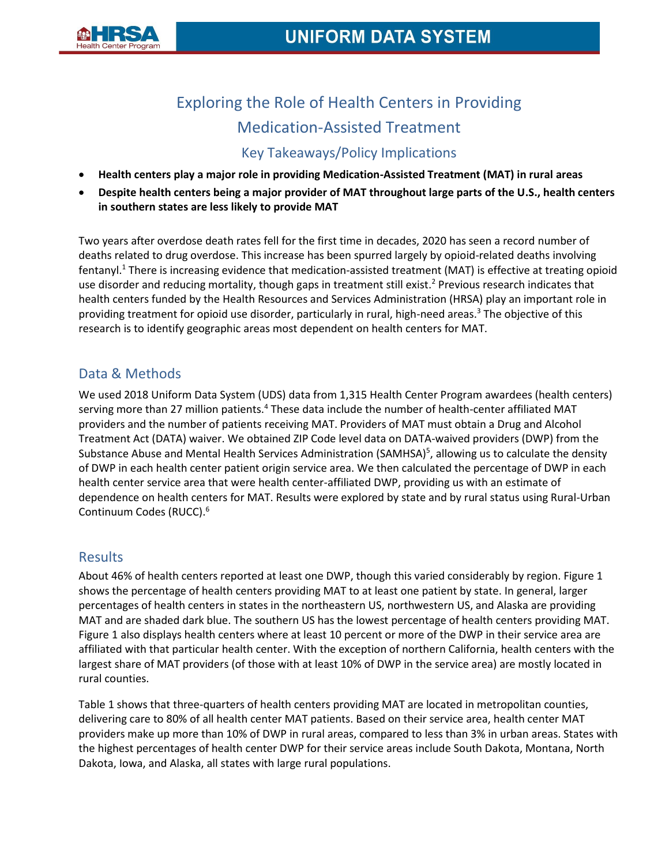

# Exploring the Role of Health Centers in Providing Medication-Assisted Treatment

# Key Takeaways/Policy Implications

- **Health centers play a major role in providing Medication-Assisted Treatment (MAT) in rural areas**
- **Despite health centers being a major provider of MAT throughout large parts of the U.S., health centers in southern states are less likely to provide MAT**

Two years after overdose death rates fell for the first time in decades, 2020 has seen a record number of deaths related to drug overdose. This increase has been spurred largely by opioid-related deaths involving fentanyl.<sup>1</sup> There is increasing evidence that medication-assisted treatment (MAT) is effective at treating opioid use disorder and reducing mortality, though gaps in treatment still exist.<sup>2</sup> Previous research indicates that health centers funded by the Health Resources and Services Administration (HRSA) play an important role in providing treatment for opioid use disorder, particularly in rural, high-need areas.<sup>3</sup> The objective of this research is to identify geographic areas most dependent on health centers for MAT.

# Data & Methods

We used 2018 Uniform Data System (UDS) data from 1,315 Health Center Program awardees (health centers) serving more than 27 million patients.<sup>4</sup> These data include the number of health-center affiliated MAT providers and the number of patients receiving MAT. Providers of MAT must obtain a Drug and Alcohol Treatment Act (DATA) waiver. We obtained ZIP Code level data on DATA-waived providers (DWP) from the Substance Abuse and Mental Health Services Administration (SAMHSA)<sup>5</sup>, allowing us to calculate the density of DWP in each health center patient origin service area. We then calculated the percentage of DWP in each health center service area that were health center-affiliated DWP, providing us with an estimate of dependence on health centers for MAT. Results were explored by state and by rural status using Rural-Urban Continuum Codes (RUCC).<sup>6</sup>

### Results

About 46% of health centers reported at least one DWP, though this varied considerably by region. Figure 1 shows the percentage of health centers providing MAT to at least one patient by state. In general, larger percentages of health centers in states in the northeastern US, northwestern US, and Alaska are providing MAT and are shaded dark blue. The southern US has the lowest percentage of health centers providing MAT. Figure 1 also displays health centers where at least 10 percent or more of the DWP in their service area are affiliated with that particular health center. With the exception of northern California, health centers with the largest share of MAT providers (of those with at least 10% of DWP in the service area) are mostly located in rural counties.

Table 1 shows that three-quarters of health centers providing MAT are located in metropolitan counties, delivering care to 80% of all health center MAT patients. Based on their service area, health center MAT providers make up more than 10% of DWP in rural areas, compared to less than 3% in urban areas. States with the highest percentages of health center DWP for their service areas include South Dakota, Montana, North Dakota, Iowa, and Alaska, all states with large rural populations.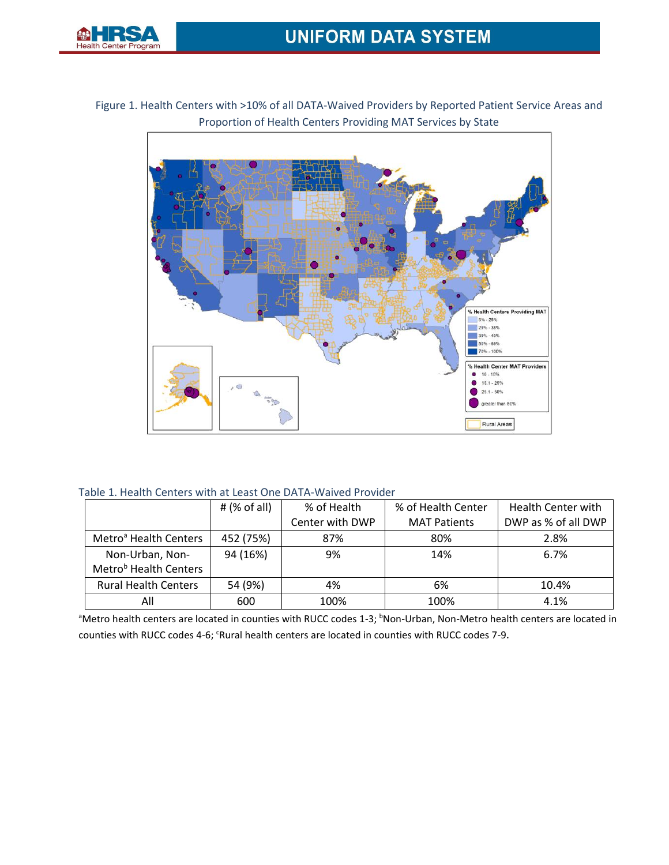

Figure 1. Health Centers with >10% of all DATA-Waived Providers by Reported Patient Service Areas and Proportion of Health Centers Providing MAT Services by State



Table 1. Health Centers with at Least One DATA-Waived Provider

|                                   | # $(% \mathbb{R}^2)$ (% of all) | % of Health     | % of Health Center  | <b>Health Center with</b> |
|-----------------------------------|---------------------------------|-----------------|---------------------|---------------------------|
|                                   |                                 | Center with DWP | <b>MAT Patients</b> | DWP as % of all DWP       |
| Metro <sup>a</sup> Health Centers | 452 (75%)                       | 87%             | 80%                 | 2.8%                      |
| Non-Urban, Non-                   | 94 (16%)                        | 9%              | 14%                 | 6.7%                      |
| Metro <sup>b</sup> Health Centers |                                 |                 |                     |                           |
| <b>Rural Health Centers</b>       | 54 (9%)                         | 4%              | 6%                  | 10.4%                     |
| All                               | 600                             | 100%            | 100%                | 4.1%                      |

<sup>a</sup>Metro health centers are located in counties with RUCC codes 1-3; <sup>b</sup>Non-Urban, Non-Metro health centers are located in counties with RUCC codes 4-6; <sup>c</sup>Rural health centers are located in counties with RUCC codes 7-9.